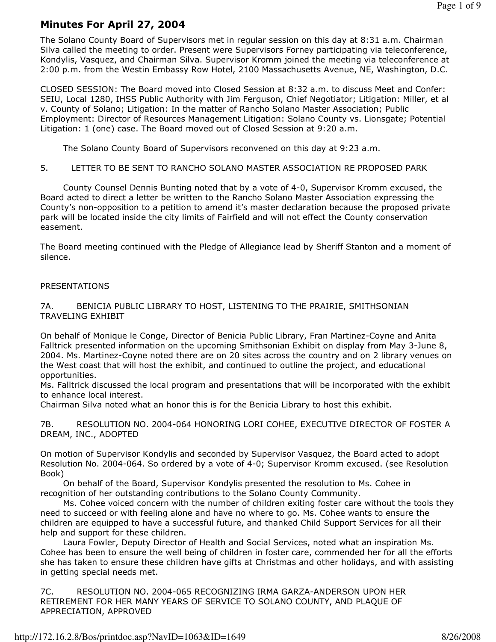# Minutes For April 27, 2004

The Solano County Board of Supervisors met in regular session on this day at 8:31 a.m. Chairman Silva called the meeting to order. Present were Supervisors Forney participating via teleconference, Kondylis, Vasquez, and Chairman Silva. Supervisor Kromm joined the meeting via teleconference at 2:00 p.m. from the Westin Embassy Row Hotel, 2100 Massachusetts Avenue, NE, Washington, D.C.

CLOSED SESSION: The Board moved into Closed Session at 8:32 a.m. to discuss Meet and Confer: SEIU, Local 1280, IHSS Public Authority with Jim Ferguson, Chief Negotiator; Litigation: Miller, et al v. County of Solano; Litigation: In the matter of Rancho Solano Master Association; Public Employment: Director of Resources Management Litigation: Solano County vs. Lionsgate; Potential Litigation: 1 (one) case. The Board moved out of Closed Session at 9:20 a.m.

The Solano County Board of Supervisors reconvened on this day at 9:23 a.m.

5. LETTER TO BE SENT TO RANCHO SOLANO MASTER ASSOCIATION RE PROPOSED PARK

 County Counsel Dennis Bunting noted that by a vote of 4-0, Supervisor Kromm excused, the Board acted to direct a letter be written to the Rancho Solano Master Association expressing the County's non-opposition to a petition to amend it's master declaration because the proposed private park will be located inside the city limits of Fairfield and will not effect the County conservation easement.

The Board meeting continued with the Pledge of Allegiance lead by Sheriff Stanton and a moment of silence.

## PRESENTATIONS

# 7A. BENICIA PUBLIC LIBRARY TO HOST, LISTENING TO THE PRAIRIE, SMITHSONIAN TRAVELING EXHIBIT

On behalf of Monique le Conge, Director of Benicia Public Library, Fran Martinez-Coyne and Anita Falltrick presented information on the upcoming Smithsonian Exhibit on display from May 3-June 8, 2004. Ms. Martinez-Coyne noted there are on 20 sites across the country and on 2 library venues on the West coast that will host the exhibit, and continued to outline the project, and educational opportunities.

Ms. Falltrick discussed the local program and presentations that will be incorporated with the exhibit to enhance local interest.

Chairman Silva noted what an honor this is for the Benicia Library to host this exhibit.

7B. RESOLUTION NO. 2004-064 HONORING LORI COHEE, EXECUTIVE DIRECTOR OF FOSTER A DREAM, INC., ADOPTED

On motion of Supervisor Kondylis and seconded by Supervisor Vasquez, the Board acted to adopt Resolution No. 2004-064. So ordered by a vote of 4-0; Supervisor Kromm excused. (see Resolution Book)

 On behalf of the Board, Supervisor Kondylis presented the resolution to Ms. Cohee in recognition of her outstanding contributions to the Solano County Community.

 Ms. Cohee voiced concern with the number of children exiting foster care without the tools they need to succeed or with feeling alone and have no where to go. Ms. Cohee wants to ensure the children are equipped to have a successful future, and thanked Child Support Services for all their help and support for these children.

 Laura Fowler, Deputy Director of Health and Social Services, noted what an inspiration Ms. Cohee has been to ensure the well being of children in foster care, commended her for all the efforts she has taken to ensure these children have gifts at Christmas and other holidays, and with assisting in getting special needs met.

7C. RESOLUTION NO. 2004-065 RECOGNIZING IRMA GARZA-ANDERSON UPON HER RETIREMENT FOR HER MANY YEARS OF SERVICE TO SOLANO COUNTY, AND PLAQUE OF APPRECIATION, APPROVED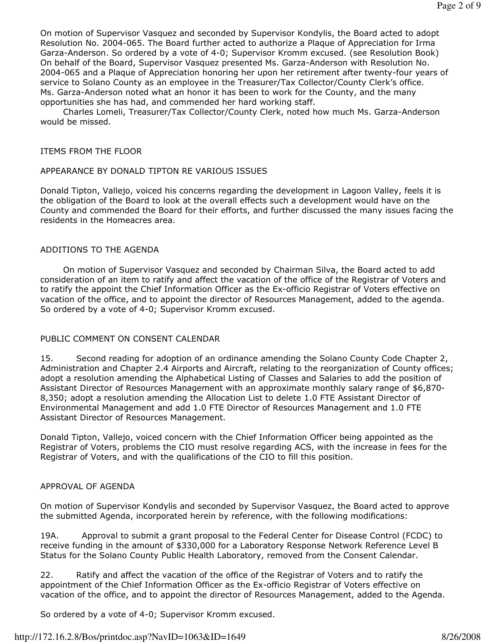On motion of Supervisor Vasquez and seconded by Supervisor Kondylis, the Board acted to adopt Resolution No. 2004-065. The Board further acted to authorize a Plaque of Appreciation for Irma Garza-Anderson. So ordered by a vote of 4-0; Supervisor Kromm excused. (see Resolution Book) On behalf of the Board, Supervisor Vasquez presented Ms. Garza-Anderson with Resolution No. 2004-065 and a Plaque of Appreciation honoring her upon her retirement after twenty-four years of service to Solano County as an employee in the Treasurer/Tax Collector/County Clerk's office. Ms. Garza-Anderson noted what an honor it has been to work for the County, and the many opportunities she has had, and commended her hard working staff.

 Charles Lomeli, Treasurer/Tax Collector/County Clerk, noted how much Ms. Garza-Anderson would be missed.

## ITEMS FROM THE FLOOR

## APPEARANCE BY DONALD TIPTON RE VARIOUS ISSUES

Donald Tipton, Vallejo, voiced his concerns regarding the development in Lagoon Valley, feels it is the obligation of the Board to look at the overall effects such a development would have on the County and commended the Board for their efforts, and further discussed the many issues facing the residents in the Homeacres area.

## ADDITIONS TO THE AGENDA

 On motion of Supervisor Vasquez and seconded by Chairman Silva, the Board acted to add consideration of an item to ratify and affect the vacation of the office of the Registrar of Voters and to ratify the appoint the Chief Information Officer as the Ex-officio Registrar of Voters effective on vacation of the office, and to appoint the director of Resources Management, added to the agenda. So ordered by a vote of 4-0; Supervisor Kromm excused.

# PUBLIC COMMENT ON CONSENT CALENDAR

15. Second reading for adoption of an ordinance amending the Solano County Code Chapter 2, Administration and Chapter 2.4 Airports and Aircraft, relating to the reorganization of County offices; adopt a resolution amending the Alphabetical Listing of Classes and Salaries to add the position of Assistant Director of Resources Management with an approximate monthly salary range of \$6,870- 8,350; adopt a resolution amending the Allocation List to delete 1.0 FTE Assistant Director of Environmental Management and add 1.0 FTE Director of Resources Management and 1.0 FTE Assistant Director of Resources Management.

Donald Tipton, Vallejo, voiced concern with the Chief Information Officer being appointed as the Registrar of Voters, problems the CIO must resolve regarding ACS, with the increase in fees for the Registrar of Voters, and with the qualifications of the CIO to fill this position.

## APPROVAL OF AGENDA

On motion of Supervisor Kondylis and seconded by Supervisor Vasquez, the Board acted to approve the submitted Agenda, incorporated herein by reference, with the following modifications:

19A. Approval to submit a grant proposal to the Federal Center for Disease Control (FCDC) to receive funding in the amount of \$330,000 for a Laboratory Response Network Reference Level B Status for the Solano County Public Health Laboratory, removed from the Consent Calendar.

22. Ratify and affect the vacation of the office of the Registrar of Voters and to ratify the appointment of the Chief Information Officer as the Ex-officio Registrar of Voters effective on vacation of the office, and to appoint the director of Resources Management, added to the Agenda.

So ordered by a vote of 4-0; Supervisor Kromm excused.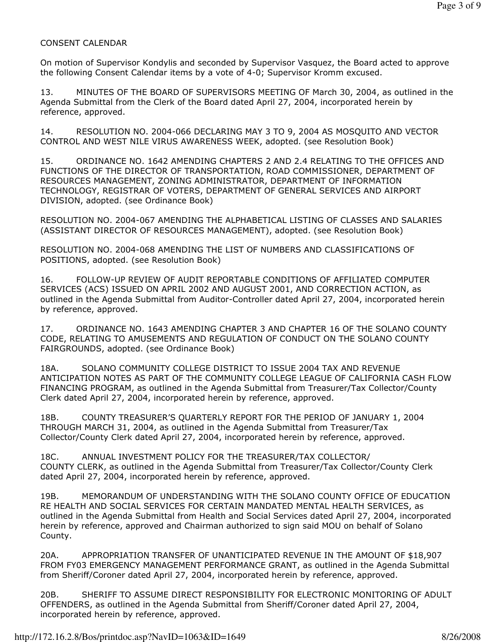# CONSENT CALENDAR

On motion of Supervisor Kondylis and seconded by Supervisor Vasquez, the Board acted to approve the following Consent Calendar items by a vote of 4-0; Supervisor Kromm excused.

13. MINUTES OF THE BOARD OF SUPERVISORS MEETING OF March 30, 2004, as outlined in the Agenda Submittal from the Clerk of the Board dated April 27, 2004, incorporated herein by reference, approved.

14. RESOLUTION NO. 2004-066 DECLARING MAY 3 TO 9, 2004 AS MOSQUITO AND VECTOR CONTROL AND WEST NILE VIRUS AWARENESS WEEK, adopted. (see Resolution Book)

15. ORDINANCE NO. 1642 AMENDING CHAPTERS 2 AND 2.4 RELATING TO THE OFFICES AND FUNCTIONS OF THE DIRECTOR OF TRANSPORTATION, ROAD COMMISSIONER, DEPARTMENT OF RESOURCES MANAGEMENT, ZONING ADMINISTRATOR, DEPARTMENT OF INFORMATION TECHNOLOGY, REGISTRAR OF VOTERS, DEPARTMENT OF GENERAL SERVICES AND AIRPORT DIVISION, adopted. (see Ordinance Book)

RESOLUTION NO. 2004-067 AMENDING THE ALPHABETICAL LISTING OF CLASSES AND SALARIES (ASSISTANT DIRECTOR OF RESOURCES MANAGEMENT), adopted. (see Resolution Book)

RESOLUTION NO. 2004-068 AMENDING THE LIST OF NUMBERS AND CLASSIFICATIONS OF POSITIONS, adopted. (see Resolution Book)

16. FOLLOW-UP REVIEW OF AUDIT REPORTABLE CONDITIONS OF AFFILIATED COMPUTER SERVICES (ACS) ISSUED ON APRIL 2002 AND AUGUST 2001, AND CORRECTION ACTION, as outlined in the Agenda Submittal from Auditor-Controller dated April 27, 2004, incorporated herein by reference, approved.

17. ORDINANCE NO. 1643 AMENDING CHAPTER 3 AND CHAPTER 16 OF THE SOLANO COUNTY CODE, RELATING TO AMUSEMENTS AND REGULATION OF CONDUCT ON THE SOLANO COUNTY FAIRGROUNDS, adopted. (see Ordinance Book)

18A. SOLANO COMMUNITY COLLEGE DISTRICT TO ISSUE 2004 TAX AND REVENUE ANTICIPATION NOTES AS PART OF THE COMMUNITY COLLEGE LEAGUE OF CALIFORNIA CASH FLOW FINANCING PROGRAM, as outlined in the Agenda Submittal from Treasurer/Tax Collector/County Clerk dated April 27, 2004, incorporated herein by reference, approved.

18B. COUNTY TREASURER'S QUARTERLY REPORT FOR THE PERIOD OF JANUARY 1, 2004 THROUGH MARCH 31, 2004, as outlined in the Agenda Submittal from Treasurer/Tax Collector/County Clerk dated April 27, 2004, incorporated herein by reference, approved.

18C. ANNUAL INVESTMENT POLICY FOR THE TREASURER/TAX COLLECTOR/ COUNTY CLERK, as outlined in the Agenda Submittal from Treasurer/Tax Collector/County Clerk dated April 27, 2004, incorporated herein by reference, approved.

19B. MEMORANDUM OF UNDERSTANDING WITH THE SOLANO COUNTY OFFICE OF EDUCATION RE HEALTH AND SOCIAL SERVICES FOR CERTAIN MANDATED MENTAL HEALTH SERVICES, as outlined in the Agenda Submittal from Health and Social Services dated April 27, 2004, incorporated herein by reference, approved and Chairman authorized to sign said MOU on behalf of Solano County.

20A. APPROPRIATION TRANSFER OF UNANTICIPATED REVENUE IN THE AMOUNT OF \$18,907 FROM FY03 EMERGENCY MANAGEMENT PERFORMANCE GRANT, as outlined in the Agenda Submittal from Sheriff/Coroner dated April 27, 2004, incorporated herein by reference, approved.

20B. SHERIFF TO ASSUME DIRECT RESPONSIBILITY FOR ELECTRONIC MONITORING OF ADULT OFFENDERS, as outlined in the Agenda Submittal from Sheriff/Coroner dated April 27, 2004, incorporated herein by reference, approved.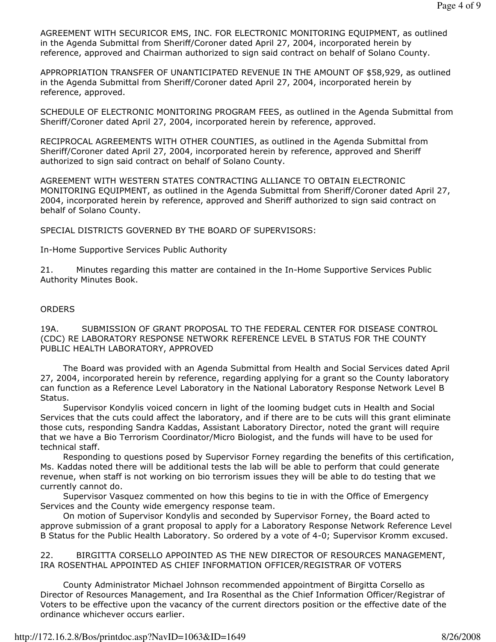AGREEMENT WITH SECURICOR EMS, INC. FOR ELECTRONIC MONITORING EQUIPMENT, as outlined in the Agenda Submittal from Sheriff/Coroner dated April 27, 2004, incorporated herein by reference, approved and Chairman authorized to sign said contract on behalf of Solano County.

APPROPRIATION TRANSFER OF UNANTICIPATED REVENUE IN THE AMOUNT OF \$58,929, as outlined in the Agenda Submittal from Sheriff/Coroner dated April 27, 2004, incorporated herein by reference, approved.

SCHEDULE OF ELECTRONIC MONITORING PROGRAM FEES, as outlined in the Agenda Submittal from Sheriff/Coroner dated April 27, 2004, incorporated herein by reference, approved.

RECIPROCAL AGREEMENTS WITH OTHER COUNTIES, as outlined in the Agenda Submittal from Sheriff/Coroner dated April 27, 2004, incorporated herein by reference, approved and Sheriff authorized to sign said contract on behalf of Solano County.

AGREEMENT WITH WESTERN STATES CONTRACTING ALLIANCE TO OBTAIN ELECTRONIC MONITORING EQUIPMENT, as outlined in the Agenda Submittal from Sheriff/Coroner dated April 27, 2004, incorporated herein by reference, approved and Sheriff authorized to sign said contract on behalf of Solano County.

SPECIAL DISTRICTS GOVERNED BY THE BOARD OF SUPERVISORS:

In-Home Supportive Services Public Authority

21. Minutes regarding this matter are contained in the In-Home Supportive Services Public Authority Minutes Book.

## **ORDERS**

19A. SUBMISSION OF GRANT PROPOSAL TO THE FEDERAL CENTER FOR DISEASE CONTROL (CDC) RE LABORATORY RESPONSE NETWORK REFERENCE LEVEL B STATUS FOR THE COUNTY PUBLIC HEALTH LABORATORY, APPROVED

 The Board was provided with an Agenda Submittal from Health and Social Services dated April 27, 2004, incorporated herein by reference, regarding applying for a grant so the County laboratory can function as a Reference Level Laboratory in the National Laboratory Response Network Level B Status.

 Supervisor Kondylis voiced concern in light of the looming budget cuts in Health and Social Services that the cuts could affect the laboratory, and if there are to be cuts will this grant eliminate those cuts, responding Sandra Kaddas, Assistant Laboratory Director, noted the grant will require that we have a Bio Terrorism Coordinator/Micro Biologist, and the funds will have to be used for technical staff.

 Responding to questions posed by Supervisor Forney regarding the benefits of this certification, Ms. Kaddas noted there will be additional tests the lab will be able to perform that could generate revenue, when staff is not working on bio terrorism issues they will be able to do testing that we currently cannot do.

 Supervisor Vasquez commented on how this begins to tie in with the Office of Emergency Services and the County wide emergency response team.

 On motion of Supervisor Kondylis and seconded by Supervisor Forney, the Board acted to approve submission of a grant proposal to apply for a Laboratory Response Network Reference Level B Status for the Public Health Laboratory. So ordered by a vote of 4-0; Supervisor Kromm excused.

22. BIRGITTA CORSELLO APPOINTED AS THE NEW DIRECTOR OF RESOURCES MANAGEMENT, IRA ROSENTHAL APPOINTED AS CHIEF INFORMATION OFFICER/REGISTRAR OF VOTERS

 County Administrator Michael Johnson recommended appointment of Birgitta Corsello as Director of Resources Management, and Ira Rosenthal as the Chief Information Officer/Registrar of Voters to be effective upon the vacancy of the current directors position or the effective date of the ordinance whichever occurs earlier.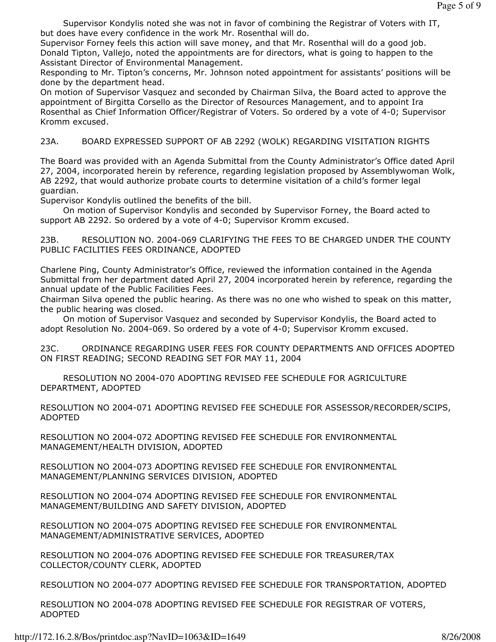Supervisor Kondylis noted she was not in favor of combining the Registrar of Voters with IT, but does have every confidence in the work Mr. Rosenthal will do.

Supervisor Forney feels this action will save money, and that Mr. Rosenthal will do a good job. Donald Tipton, Vallejo, noted the appointments are for directors, what is going to happen to the Assistant Director of Environmental Management.

Responding to Mr. Tipton's concerns, Mr. Johnson noted appointment for assistants' positions will be done by the department head.

On motion of Supervisor Vasquez and seconded by Chairman Silva, the Board acted to approve the appointment of Birgitta Corsello as the Director of Resources Management, and to appoint Ira Rosenthal as Chief Information Officer/Registrar of Voters. So ordered by a vote of 4-0; Supervisor Kromm excused.

23A. BOARD EXPRESSED SUPPORT OF AB 2292 (WOLK) REGARDING VISITATION RIGHTS

The Board was provided with an Agenda Submittal from the County Administrator's Office dated April 27, 2004, incorporated herein by reference, regarding legislation proposed by Assemblywoman Wolk, AB 2292, that would authorize probate courts to determine visitation of a child's former legal guardian.

Supervisor Kondylis outlined the benefits of the bill.

 On motion of Supervisor Kondylis and seconded by Supervisor Forney, the Board acted to support AB 2292. So ordered by a vote of 4-0; Supervisor Kromm excused.

23B. RESOLUTION NO. 2004-069 CLARIFYING THE FEES TO BE CHARGED UNDER THE COUNTY PUBLIC FACILITIES FEES ORDINANCE, ADOPTED

Charlene Ping, County Administrator's Office, reviewed the information contained in the Agenda Submittal from her department dated April 27, 2004 incorporated herein by reference, regarding the annual update of the Public Facilities Fees.

Chairman Silva opened the public hearing. As there was no one who wished to speak on this matter, the public hearing was closed.

 On motion of Supervisor Vasquez and seconded by Supervisor Kondylis, the Board acted to adopt Resolution No. 2004-069. So ordered by a vote of 4-0; Supervisor Kromm excused.

23C. ORDINANCE REGARDING USER FEES FOR COUNTY DEPARTMENTS AND OFFICES ADOPTED ON FIRST READING; SECOND READING SET FOR MAY 11, 2004

 RESOLUTION NO 2004-070 ADOPTING REVISED FEE SCHEDULE FOR AGRICULTURE DEPARTMENT, ADOPTED

RESOLUTION NO 2004-071 ADOPTING REVISED FEE SCHEDULE FOR ASSESSOR/RECORDER/SCIPS, ADOPTED

RESOLUTION NO 2004-072 ADOPTING REVISED FEE SCHEDULE FOR ENVIRONMENTAL MANAGEMENT/HEALTH DIVISION, ADOPTED

RESOLUTION NO 2004-073 ADOPTING REVISED FEE SCHEDULE FOR ENVIRONMENTAL MANAGEMENT/PLANNING SERVICES DIVISION, ADOPTED

RESOLUTION NO 2004-074 ADOPTING REVISED FEE SCHEDULE FOR ENVIRONMENTAL MANAGEMENT/BUILDING AND SAFETY DIVISION, ADOPTED

RESOLUTION NO 2004-075 ADOPTING REVISED FEE SCHEDULE FOR ENVIRONMENTAL MANAGEMENT/ADMINISTRATIVE SERVICES, ADOPTED

RESOLUTION NO 2004-076 ADOPTING REVISED FEE SCHEDULE FOR TREASURER/TAX COLLECTOR/COUNTY CLERK, ADOPTED

RESOLUTION NO 2004-077 ADOPTING REVISED FEE SCHEDULE FOR TRANSPORTATION, ADOPTED

RESOLUTION NO 2004-078 ADOPTING REVISED FEE SCHEDULE FOR REGISTRAR OF VOTERS, ADOPTED

http://172.16.2.8/Bos/printdoc.asp?NavID=1063&ID=1649 8/26/2008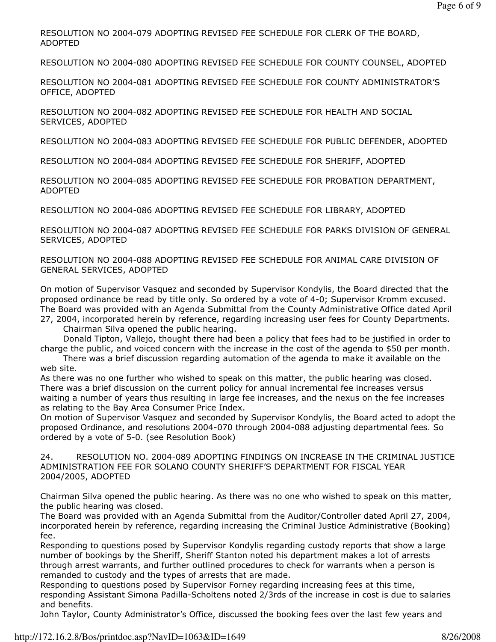RESOLUTION NO 2004-079 ADOPTING REVISED FEE SCHEDULE FOR CLERK OF THE BOARD, ADOPTED

RESOLUTION NO 2004-080 ADOPTING REVISED FEE SCHEDULE FOR COUNTY COUNSEL, ADOPTED

RESOLUTION NO 2004-081 ADOPTING REVISED FEE SCHEDULE FOR COUNTY ADMINISTRATOR'S OFFICE, ADOPTED

RESOLUTION NO 2004-082 ADOPTING REVISED FEE SCHEDULE FOR HEALTH AND SOCIAL SERVICES, ADOPTED

RESOLUTION NO 2004-083 ADOPTING REVISED FEE SCHEDULE FOR PUBLIC DEFENDER, ADOPTED

RESOLUTION NO 2004-084 ADOPTING REVISED FEE SCHEDULE FOR SHERIFF, ADOPTED

RESOLUTION NO 2004-085 ADOPTING REVISED FEE SCHEDULE FOR PROBATION DEPARTMENT, ADOPTED

RESOLUTION NO 2004-086 ADOPTING REVISED FEE SCHEDULE FOR LIBRARY, ADOPTED

RESOLUTION NO 2004-087 ADOPTING REVISED FEE SCHEDULE FOR PARKS DIVISION OF GENERAL SERVICES, ADOPTED

RESOLUTION NO 2004-088 ADOPTING REVISED FEE SCHEDULE FOR ANIMAL CARE DIVISION OF GENERAL SERVICES, ADOPTED

On motion of Supervisor Vasquez and seconded by Supervisor Kondylis, the Board directed that the proposed ordinance be read by title only. So ordered by a vote of 4-0; Supervisor Kromm excused. The Board was provided with an Agenda Submittal from the County Administrative Office dated April 27, 2004, incorporated herein by reference, regarding increasing user fees for County Departments.

Chairman Silva opened the public hearing.

 Donald Tipton, Vallejo, thought there had been a policy that fees had to be justified in order to charge the public, and voiced concern with the increase in the cost of the agenda to \$50 per month.

 There was a brief discussion regarding automation of the agenda to make it available on the web site.

As there was no one further who wished to speak on this matter, the public hearing was closed. There was a brief discussion on the current policy for annual incremental fee increases versus waiting a number of years thus resulting in large fee increases, and the nexus on the fee increases as relating to the Bay Area Consumer Price Index.

On motion of Supervisor Vasquez and seconded by Supervisor Kondylis, the Board acted to adopt the proposed Ordinance, and resolutions 2004-070 through 2004-088 adjusting departmental fees. So ordered by a vote of 5-0. (see Resolution Book)

24. RESOLUTION NO. 2004-089 ADOPTING FINDINGS ON INCREASE IN THE CRIMINAL JUSTICE ADMINISTRATION FEE FOR SOLANO COUNTY SHERIFF'S DEPARTMENT FOR FISCAL YEAR 2004/2005, ADOPTED

Chairman Silva opened the public hearing. As there was no one who wished to speak on this matter, the public hearing was closed.

The Board was provided with an Agenda Submittal from the Auditor/Controller dated April 27, 2004, incorporated herein by reference, regarding increasing the Criminal Justice Administrative (Booking) fee.

Responding to questions posed by Supervisor Kondylis regarding custody reports that show a large number of bookings by the Sheriff, Sheriff Stanton noted his department makes a lot of arrests through arrest warrants, and further outlined procedures to check for warrants when a person is remanded to custody and the types of arrests that are made.

Responding to questions posed by Supervisor Forney regarding increasing fees at this time, responding Assistant Simona Padilla-Scholtens noted 2/3rds of the increase in cost is due to salaries and benefits.

John Taylor, County Administrator's Office, discussed the booking fees over the last few years and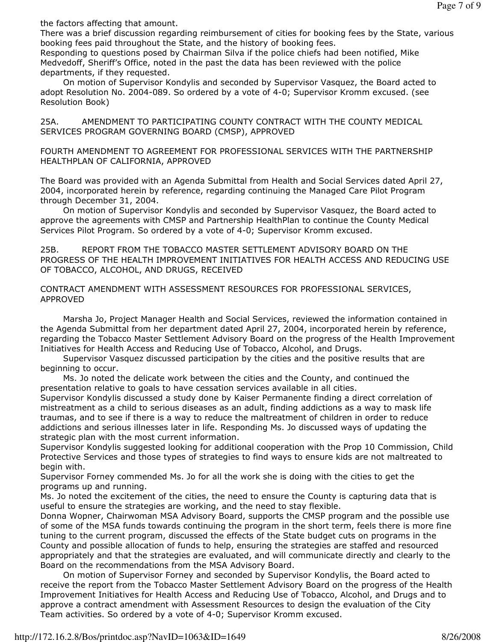the factors affecting that amount.

There was a brief discussion regarding reimbursement of cities for booking fees by the State, various booking fees paid throughout the State, and the history of booking fees.

Responding to questions posed by Chairman Silva if the police chiefs had been notified, Mike Medvedoff, Sheriff's Office, noted in the past the data has been reviewed with the police departments, if they requested.

 On motion of Supervisor Kondylis and seconded by Supervisor Vasquez, the Board acted to adopt Resolution No. 2004-089. So ordered by a vote of 4-0; Supervisor Kromm excused. (see Resolution Book)

25A. AMENDMENT TO PARTICIPATING COUNTY CONTRACT WITH THE COUNTY MEDICAL SERVICES PROGRAM GOVERNING BOARD (CMSP), APPROVED

FOURTH AMENDMENT TO AGREEMENT FOR PROFESSIONAL SERVICES WITH THE PARTNERSHIP HEALTHPLAN OF CALIFORNIA, APPROVED

The Board was provided with an Agenda Submittal from Health and Social Services dated April 27, 2004, incorporated herein by reference, regarding continuing the Managed Care Pilot Program through December 31, 2004.

 On motion of Supervisor Kondylis and seconded by Supervisor Vasquez, the Board acted to approve the agreements with CMSP and Partnership HealthPlan to continue the County Medical Services Pilot Program. So ordered by a vote of 4-0; Supervisor Kromm excused.

25B. REPORT FROM THE TOBACCO MASTER SETTLEMENT ADVISORY BOARD ON THE PROGRESS OF THE HEALTH IMPROVEMENT INITIATIVES FOR HEALTH ACCESS AND REDUCING USE OF TOBACCO, ALCOHOL, AND DRUGS, RECEIVED

## CONTRACT AMENDMENT WITH ASSESSMENT RESOURCES FOR PROFESSIONAL SERVICES, APPROVED

 Marsha Jo, Project Manager Health and Social Services, reviewed the information contained in the Agenda Submittal from her department dated April 27, 2004, incorporated herein by reference, regarding the Tobacco Master Settlement Advisory Board on the progress of the Health Improvement Initiatives for Health Access and Reducing Use of Tobacco, Alcohol, and Drugs.

 Supervisor Vasquez discussed participation by the cities and the positive results that are beginning to occur.

 Ms. Jo noted the delicate work between the cities and the County, and continued the presentation relative to goals to have cessation services available in all cities.

Supervisor Kondylis discussed a study done by Kaiser Permanente finding a direct correlation of mistreatment as a child to serious diseases as an adult, finding addictions as a way to mask life traumas, and to see if there is a way to reduce the maltreatment of children in order to reduce addictions and serious illnesses later in life. Responding Ms. Jo discussed ways of updating the strategic plan with the most current information.

Supervisor Kondylis suggested looking for additional cooperation with the Prop 10 Commission, Child Protective Services and those types of strategies to find ways to ensure kids are not maltreated to begin with.

Supervisor Forney commended Ms. Jo for all the work she is doing with the cities to get the programs up and running.

Ms. Jo noted the excitement of the cities, the need to ensure the County is capturing data that is useful to ensure the strategies are working, and the need to stay flexible.

Donna Wopner, Chairwoman MSA Advisory Board, supports the CMSP program and the possible use of some of the MSA funds towards continuing the program in the short term, feels there is more fine tuning to the current program, discussed the effects of the State budget cuts on programs in the County and possible allocation of funds to help, ensuring the strategies are staffed and resourced appropriately and that the strategies are evaluated, and will communicate directly and clearly to the Board on the recommendations from the MSA Advisory Board.

 On motion of Supervisor Forney and seconded by Supervisor Kondylis, the Board acted to receive the report from the Tobacco Master Settlement Advisory Board on the progress of the Health Improvement Initiatives for Health Access and Reducing Use of Tobacco, Alcohol, and Drugs and to approve a contract amendment with Assessment Resources to design the evaluation of the City Team activities. So ordered by a vote of 4-0; Supervisor Kromm excused.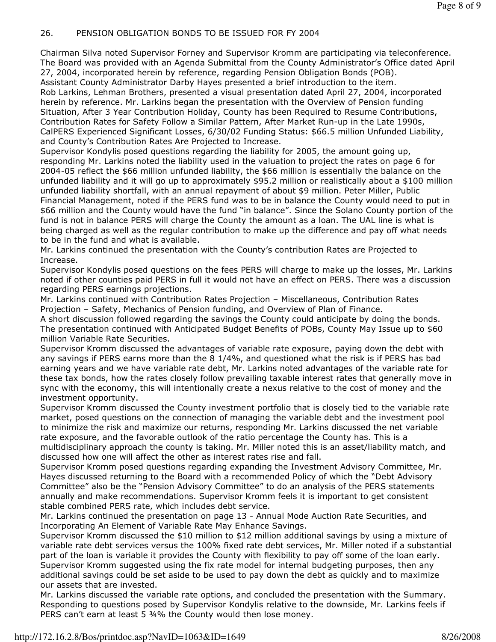## 26. PENSION OBLIGATION BONDS TO BE ISSUED FOR FY 2004

Chairman Silva noted Supervisor Forney and Supervisor Kromm are participating via teleconference. The Board was provided with an Agenda Submittal from the County Administrator's Office dated April 27, 2004, incorporated herein by reference, regarding Pension Obligation Bonds (POB). Assistant County Administrator Darby Hayes presented a brief introduction to the item.

Rob Larkins, Lehman Brothers, presented a visual presentation dated April 27, 2004, incorporated herein by reference. Mr. Larkins began the presentation with the Overview of Pension funding Situation, After 3 Year Contribution Holiday, County has been Required to Resume Contributions, Contribution Rates for Safety Follow a Similar Pattern, After Market Run-up in the Late 1990s, CalPERS Experienced Significant Losses, 6/30/02 Funding Status: \$66.5 million Unfunded Liability, and County's Contribution Rates Are Projected to Increase.

Supervisor Kondylis posed questions regarding the liability for 2005, the amount going up, responding Mr. Larkins noted the liability used in the valuation to project the rates on page 6 for 2004-05 reflect the \$66 million unfunded liability, the \$66 million is essentially the balance on the unfunded liability and it will go up to approximately \$95.2 million or realistically about a \$100 million unfunded liability shortfall, with an annual repayment of about \$9 million. Peter Miller, Public Financial Management, noted if the PERS fund was to be in balance the County would need to put in \$66 million and the County would have the fund "in balance". Since the Solano County portion of the fund is not in balance PERS will charge the County the amount as a loan. The UAL line is what is being charged as well as the regular contribution to make up the difference and pay off what needs to be in the fund and what is available.

Mr. Larkins continued the presentation with the County's contribution Rates are Projected to Increase.

Supervisor Kondylis posed questions on the fees PERS will charge to make up the losses, Mr. Larkins noted if other counties paid PERS in full it would not have an effect on PERS. There was a discussion regarding PERS earnings projections.

Mr. Larkins continued with Contribution Rates Projection – Miscellaneous, Contribution Rates Projection – Safety, Mechanics of Pension funding, and Overview of Plan of Finance.

A short discussion followed regarding the savings the County could anticipate by doing the bonds. The presentation continued with Anticipated Budget Benefits of POBs, County May Issue up to \$60 million Variable Rate Securities.

Supervisor Kromm discussed the advantages of variable rate exposure, paying down the debt with any savings if PERS earns more than the 8 1/4%, and questioned what the risk is if PERS has bad earning years and we have variable rate debt, Mr. Larkins noted advantages of the variable rate for these tax bonds, how the rates closely follow prevailing taxable interest rates that generally move in sync with the economy, this will intentionally create a nexus relative to the cost of money and the investment opportunity.

Supervisor Kromm discussed the County investment portfolio that is closely tied to the variable rate market, posed questions on the connection of managing the variable debt and the investment pool to minimize the risk and maximize our returns, responding Mr. Larkins discussed the net variable rate exposure, and the favorable outlook of the ratio percentage the County has. This is a multidisciplinary approach the county is taking. Mr. Miller noted this is an asset/liability match, and discussed how one will affect the other as interest rates rise and fall.

Supervisor Kromm posed questions regarding expanding the Investment Advisory Committee, Mr. Hayes discussed returning to the Board with a recommended Policy of which the "Debt Advisory Committee" also be the "Pension Advisory Committee" to do an analysis of the PERS statements annually and make recommendations. Supervisor Kromm feels it is important to get consistent stable combined PERS rate, which includes debt service.

Mr. Larkins continued the presentation on page 13 - Annual Mode Auction Rate Securities, and Incorporating An Element of Variable Rate May Enhance Savings.

Supervisor Kromm discussed the \$10 million to \$12 million additional savings by using a mixture of variable rate debt services versus the 100% fixed rate debt services, Mr. Miller noted if a substantial part of the loan is variable it provides the County with flexibility to pay off some of the loan early. Supervisor Kromm suggested using the fix rate model for internal budgeting purposes, then any additional savings could be set aside to be used to pay down the debt as quickly and to maximize our assets that are invested.

Mr. Larkins discussed the variable rate options, and concluded the presentation with the Summary. Responding to questions posed by Supervisor Kondylis relative to the downside, Mr. Larkins feels if PERS can't earn at least 5 34% the County would then lose money.